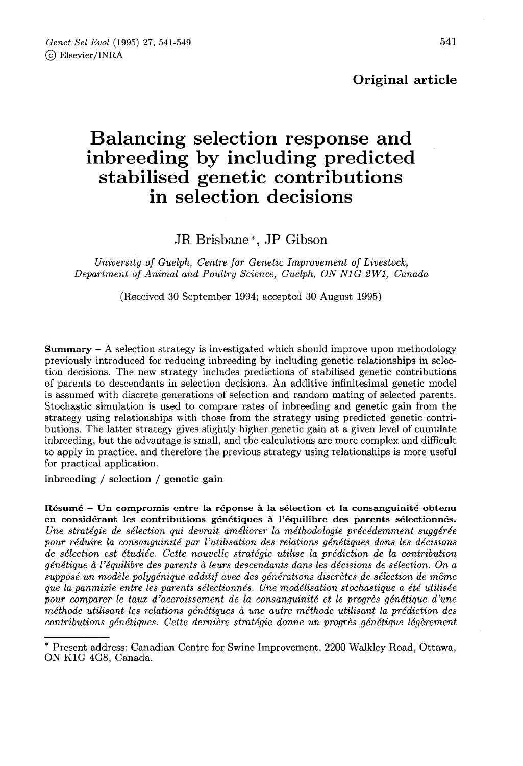Original article

# Balancing selection response and inbreeding by including predicted stabilised genetic contributions in selection decisions

# JR Brisbane\*, JP Gibson

University of Guelph, Centre for Genetic Improvement of Livestock, Department of Animal and Poultry Science, Guelph, ON N1G 2W1, Canada

(Received 30 September 1994; accepted 30 August 1995)

**Summary**  $-$  A selection strategy is investigated which should improve upon methodology previously introduced for reducing inbreeding by including genetic relationships in selection decisions. The new strategy includes predictions of stabilised genetic contributions of parents to descendants in selection decisions. An additive infinitesimal genetic model is assumed with discrete generations of selection and random mating of selected parents. Stochastic simulation is used to compare rates of inbreeding and genetic gain from the strategy using relationships with those from the strategy using predicted genetic contributions. The latter strategy gives slightly higher genetic gain at a given level of cumulate inbreeding, but the advantage is small, and the calculations are more complex and difficult to apply in practice, and therefore the previous strategy using relationships is more useful for practical application.

inbreeding / selection / genetic gain

pour comparer le taux d'accroissement de la consanguinité et le progrès génétique d'une<br>méthode utilisant les relations génétiques à une autre méthode utilisant la prédiction des<br>contributions génétiques. Cette dernière st Résumé - Un compromis entre la réponse à la sélection et la consanguinité obtenu en considérant les contributions génétiques à l'équilibre des parents sélectionnés. Une stratégie de sélection qui devrait améliorer la méthodologie précédemment suggérée pour réduire la consanguinité par l'utilisation des relations génétiques dans les décisions de sélection est étudiée. Cette nouvelle stratégie utilise la prédiction de la contribution génétique à l'équilibre des parents à leurs descendants dans les décisions de sélection. On a supposé un modèle polygénique additif avec des générations discrètes de sélection de même que la panmixie entre les parents sélectionnés. Une modélisation stochastique a été utilisée pour comparer le taux d'accroissement de la consanguinité et le progrès génétique d'une méthode utilisant les relations génétiques à une autre méthode utilisant la prédiction des contributions génétiques. Cette dernière stratégie donne un progrès génétique légèrement

 $*$  Present address: Canadian Centre for Swine Improvement, 2200 Walkley Road, Ottawa, ON K1G 4G8, Canada.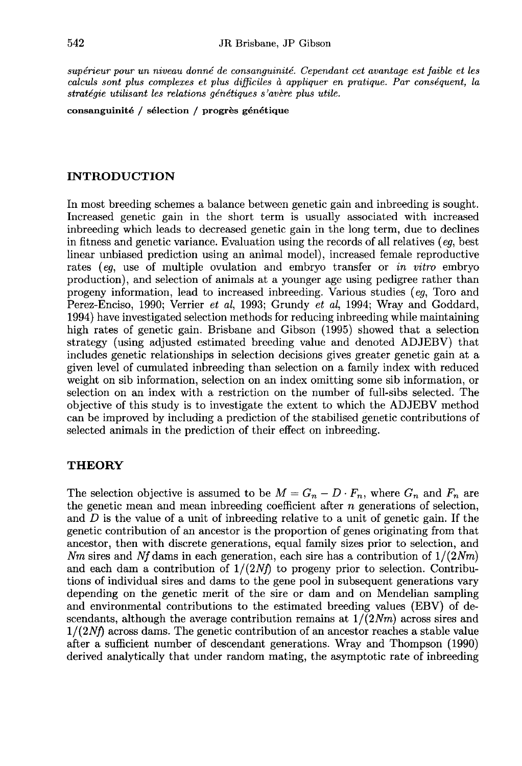supérieur pour un niveau donné de consanguinité. Cependant cet avantage est faible et les calculs sont plus complexes et plus difficiles à appliquer en pratique. Par conséquent, la stratégie utilisant les relations génétiques s'avère plus utile.

consanguinité / sélection / progrès génétique

### INTRODUCTION

In most breeding schemes a balance between genetic gain and inbreeding is sought. Increased genetic gain in the short term is usually associated with increased inbreeding which leads to decreased genetic gain in the long term, due to declines in fitness and genetic variance. Evaluation using the records of all relatives (eg, best linear unbiased prediction using an animal model), increased female reproductive rates (eg, use of multiple ovulation and embryo transfer or in vitro embryo production), and selection of animals at a younger age using pedigree rather than progeny information, lead to increased inbreeding. Various studies (eg, Toro and Perez-Enciso, 1990; Verrier et al, 1993; Grundy et al, 1994; Wray and Goddard, 1994) have investigated selection methods for reducing inbreeding while maintaining high rates of genetic gain. Brisbane and Gibson (1995) showed that a selection strategy (using adjusted estimated breeding value and denoted ADJEBV) that includes genetic relationships in selection decisions gives greater genetic gain at a given level of cumulated inbreeding than selection on a family index with reduced weight on sib information, selection on an index omitting some sib information, or selection on an index with a restriction on the number of full-sibs selected. The objective of this study is to investigate the extent to which the ADJEBV method can be improved by including a prediction of the stabilised genetic contributions of selected animals in the prediction of their effect on inbreeding.

# **THEORY**

The selection objective is assumed to be  $M = G_n - D \cdot F_n$ , where  $G_n$  and  $F_n$  are the genetic mean and mean inbreeding coefficient after  $n$  generations of selection, and  $D$  is the value of a unit of indirecting relative to a unit of genetic gain. If the genetic contribution of an ancestor is the proportion of genes originating from that ancestor, then with discrete generations, equal family sizes prior to selection, and Nm sires and Nf dams in each generation, each sire has a contribution of  $1/(2Nm)$ and each dam a contribution of  $1/(2N)$  to progeny prior to selection. Contributions of individual sires and dams to the gene pool in subsequent generations vary depending on the genetic merit of the sire or dam and on Mendelian sampling and environmental contributions to the estimated breeding values (EBV) of descendants, although the average contribution remains at  $1/(2Nm)$  across sires and  $1/(2Nf)$  across dams. The genetic contribution of an ancestor reaches a stable value after a sufficient number of descendant generations. Wray and Thompson (1990) derived analytically that under random mating, the asymptotic rate of inbreeding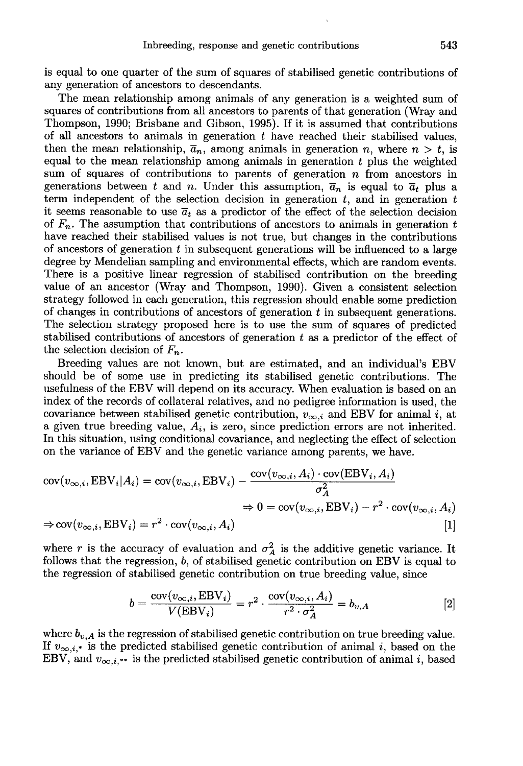is equal to one quarter of the sum of squares of stabilised genetic contributions of any generation of ancestors to descendants.

The mean relationship among animals of any generation is a weighted sum of squares of contributions from all ancestors to parents of that generation (Wray and Thompson, 1990; Brisbane and Gibson, 1995). If it is assumed that contributions of all ancestors to animals in generation  $t$  have reached their stabilised values, then the mean relationship,  $\bar{a}_n$ , among animals in generation n, where  $n > t$ , is equal to the mean relationship among animals in generation  $t$  plus the weighted sum of squares of contributions to parents of generation  $n$  from ancestors in generations between t and n. Under this assumption,  $\bar{a}_n$  is equal to  $\bar{a}_t$  plus a term independent of the selection decision in generation  $t$ , and in generation  $t$ it seems reasonable to use  $\bar{a}_t$  as a predictor of the effect of the selection decision of  $F_n$ . The assumption that contributions of ancestors to animals in generation t have reached their stabilised values is not true, but changes in the contributions of ancestors of generation  $t$  in subsequent generations will be influenced to a large degree by Mendelian sampling and environmental effects, which are random events. There is a positive linear regression of stabilised contribution on the breeding value of an ancestor (Wray and Thompson, 1990). Given a consistent selection strategy followed in each generation, this regression should enable some prediction of changes in contributions of ancestors of generation t in subsequent generations. The selection strategy proposed here is to use the sum of squares of predicted stabilised contributions of ancestors of generation  $t$  as a predictor of the effect of the selection decision of  $F_n$ .

Breeding values are not known, but are estimated, and an individual's EBV should be of some use in predicting its stabilised genetic contributions. The usefulness of the EBV will depend on its accuracy. When evaluation is based on an index of the records of collateral relatives, and no pedigree information is used, the covariance between stabilised genetic contribution,  $v_{\infty,i}$  and EBV for animal i, at a given true breeding value,  $\tilde{A}_i$ , is zero, since prediction errors are not inherited. In this situation, using conditional covariance, and neglecting the effect of selection on the variance of EBV and the genetic variance among parents, we have.

$$
cov(v_{\infty,i}, EBV_i|A_i) = cov(v_{\infty,i}, EBV_i) - \frac{cov(v_{\infty,i}, A_i) \cdot cov(EBV_i, A_i)}{\sigma_A^2}
$$
  
\n
$$
\Rightarrow 0 = cov(v_{\infty,i}, EBV_i) - r^2 \cdot cov(v_{\infty,i}, A_i)
$$
  
\n
$$
\Rightarrow cov(v_{\infty,i}, EBV_i) = r^2 \cdot cov(v_{\infty,i}, A_i)
$$
\n[1]

where r is the accuracy of evaluation and  $\sigma_A^2$  is the additive genetic variance. It follows that the regression, b, of stabilised genetic contribution on EBV is equal to the regression of stabilised genetic contribution on true breeding value, since

$$
b = \frac{\text{cov}(v_{\infty,i}, \text{EBV}_i)}{V(\text{EBV}_i)} = r^2 \cdot \frac{\text{cov}(v_{\infty,i}, A_i)}{r^2 \cdot \sigma_A^2} = b_{v,A}
$$
 [2]

where  $b_{v,A}$  is the regression of stabilised genetic contribution on true breeding value. If  $v_{\infty,i,*}$  is the predicted stabilised genetic contribution of animal i, based on the EBV, and  $v_{\infty,i,*}$  is the predicted stabilised genetic contribution of animal i, based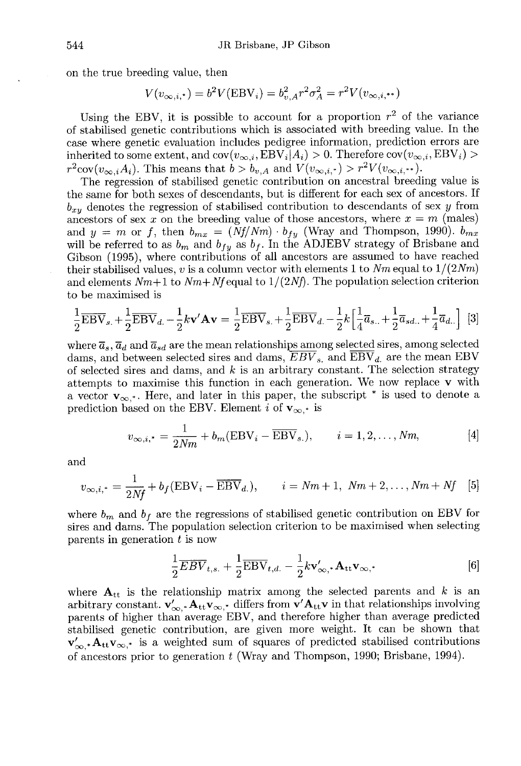on the true breeding value, then

$$
V(v_{\infty,i,*}) = b^2 V(\text{EBV}_i) = b_{v,A}^2 r^2 \sigma_A^2 = r^2 V(v_{\infty,i,*})
$$

Using the EBV, it is possible to account for a proportion  $r^2$  of the variance of stabilised genetic contributions which is associated with breeding value. In the case where genetic evaluation includes pedigree information, prediction errors are inherited to some extent, and  $cov(v_{\infty,i}, \overline{EBV_i}|A_i) > 0$ . Therefore  $cov(v_{\infty,i}, EBV_i) > r^2 cov(v_{\infty,i}A_i)$ . This means that  $b > b_{v,A}$  and  $V(v_{\infty,i,*}) > r^2 V(v_{\infty,i,*})$ . Using the I<br>of stabilised georges where gerees<br>inherited to so:<br> $r^2 \text{cov}(v_{\infty,i}A_i)$ .<br>The regress<br>the same for b the EBV, it is possible to account for a proportion  $r^2$  of the variance<br>eed genetic contributions which is associated with breeding value. In the<br>re genetic evaluation includes pedigree information, prediction errors ar  $V(v_{\infty,i,*}) = b^2 V(\text{EBV}_i) = b_{v,A}^2 r^2 \sigma_A^2 = r^2 V(v_{\infty,i,*})$ <br>Using the EBV, it is possible to account for a proportion  $r^2$  of t<br>of stabilised genetic contributions which is associated with breeding v<br>case where genetic evaluat

The regression of stabilised genetic contribution on ancestral breeding value is the same for both sexes of descendants, but is different for each sex of ancestors. If  $b_{xy}$  denotes the regression of stabilised contribution to descendants of sex y from ancestors of sex x on the breeding value of those ancestors, where  $x = m$  (males) and  $y = m$  or f, then  $b_{mx} = (Nf/Nm) \cdot b_{fy}$  (Wray and Thompson, 1990).  $b_{mx}$ will be referred to as  $b_m$  and  $b_{fy}$  as  $b_f$ . In the ADJEBV strategy of Brisbane and Gibson (1995), where contributions of all ancestors are assumed to have reached their stabilised values, v is a column vector with ele Gibson (1995), where contributions of all ancestors are assumed to have reached their stabilised values, v is a column vector with elements 1 to  $Nm$  equal to  $1/(2Nm)$  and elements  $Nm+1$  to  $Nm+Nf$  equal to  $1/(2Nf)$ . The population selection criterion to be maximised is '

$$
\frac{1}{2}\overline{\text{EBV}}_{s.} + \frac{1}{2}\overline{\text{EBV}}_{d.} - \frac{1}{2}k\mathbf{v}'\mathbf{A}\mathbf{v} = \frac{1}{2}\overline{\text{EBV}}_{s.} + \frac{1}{2}\overline{\text{EBV}}_{d.} - \frac{1}{2}k\Big[\frac{1}{4}\overline{a}_{s..} + \frac{1}{2}\overline{a}_{sd..} + \frac{1}{4}\overline{a}_{d..}\Big]
$$
[3]

where  $\bar{a}_s$ ,  $\bar{a}_d$  and  $\bar{a}_{sd}$  are the mean relationships among selected sires, among selected  $\frac{1}{2}$ EBV<sub>s.</sub> +  $\frac{1}{2}$ EBV<sub>d.</sub> -  $\frac{1}{2}$ KV AV =  $\frac{1}{2}$ EBV<sub>s</sub>. +  $\frac{1}{2}$ EBV<sub>d.</sub> -  $\frac{1}{2}$ <sup>R</sup><sub>L</sub> $\frac{1}{4}$ <sup>a</sup>s.. +  $\frac{1}{2}$ <sup>a</sup>d..  $\frac{1}{4}$ <sup>ad.</sup>.  $\frac{1}{2}$ <sup>19</sup><br>where  $\overline{a}_s$ ,  $\overline{a}_d$  and  $\overline{a}_{sd}$  are the of selected sires and dams, and  $k$  is an arbitrary constant. The selection strategy attempts to maximise this function in each generation. We now replace v with of selected sires and dams, and  $k$  is an arbitrary constant. I<br>attempts to maximise this function in each generation. We<br>a vector  $\mathbf{v}_{\infty,*}$ . Here, and later in this paper, the subscript \*<br>prediction based on the EBV. is used to denote a prediction based on the EBV. Element i of  $v_{\infty,*}$  is

$$
v_{\infty,i,*} = \frac{1}{2Nm} + b_m(\text{EBV}_i - \overline{\text{EBV}}_s), \qquad i = 1, 2, \dots, Nm,
$$
 [4]

and

$$
v_{\infty,i,*} = \frac{1}{2Nf} + b_f(\text{EBV}_i - \overline{\text{EBV}}_d), \qquad i = Nm+1, Nm+2,\dots, Nm + Nf \quad [5]
$$

where  $b_m$  and  $b_f$  are the regressions of stabilised genetic contribution on EBV for sires and dams. The population selection criterion to be maximised when selecting parents in generation  $t$  is now

$$
\frac{1}{2}\overline{EBV}_{t,s.} + \frac{1}{2}\overline{EBV}_{t,d.} - \frac{1}{2}k\mathbf{v}'_{\infty,*}\mathbf{A}_{\mathbf{tt}}\mathbf{v}_{\infty,*}
$$
 [6]

where  $A_{tt}$  is the relationship matrix among the selected parents and k is an arbitrary constant.  $\mathbf{v}'_{\infty,*} \mathbf{A}_{\text{tt}} \mathbf{v}_{\infty,*}$  differs from  $\mathbf{v}' \mathbf{A}_{\text{tt}} \mathbf{v}$  in that relationships involving parents of higher than average EBV, and therefore higher than average predicted stabilised genetic contribution, are given more weight. It can be shown that  ${\bf v}'_{\infty,*} {\bf A}_{tt} {\bf v}_{\infty,*}$  is a weighted sum of squares of predicted stabilised contributions of ancestors prior to generation t (Wray and Thompson, 1990; Brisbane, 1994).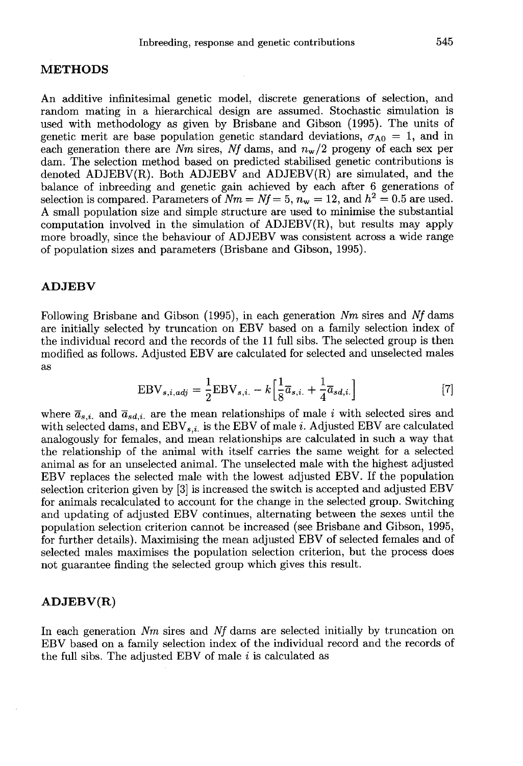#### METHODS

An additive infinitesimal genetic model, discrete generations of selection, and random mating in a hierarchical design are assumed. Stochastic simulation is used with methodology as given by Brisbane and Gibson (1995). The units of genetic merit are base population genetic standard deviations,  $\sigma_{A0} = 1$ , and in the properties  $M_{\text{min}}$  into  $M_{\text{min}}$  and  $\mu$  (0 methods of genetic merit are base population genetic standard deviations,  $\sigma_{A0} = 1$ , and in each generation there are Nm sires, Nf dams, and  $n_w/2$  progeny of each sex per dam. The selection method based on predicted stabilised genetic contributions is denoted ADJEBV(R). Both ADJEBV and ADJEBV(R) are simulated, and the balance of inbreeding and genetic gain achieved by each after 6 generations of selection is compared. Parameters of  $Nm = Nf = 5$ ,  $n_w = 12$ , and  $h^2 = 0.5$  are used. A small population size and simple structure are used to minimise the substantial computation involved in the simulation of  $ADJEBV(R)$ , but results may apply more broadly, since the behaviour of ADJEBV was consistent across a wide range of population sizes and parameters (Brisbane and Gibson, 1995).

#### ADJEBV

Following Brisbane and Gibson (1995), in each generation  $Nm$  sires and  $Nf$  dams are initially selected by truncation on EBV based on a family selection index of the individual record and the records of the 11 full sibs. The selected group is then modified as follows. Adjusted EBV are calculated for selected and unselected males as

$$
EBV_{s,i,adj} = \frac{1}{2} EBV_{s,i.} - k \left[ \frac{1}{8} \overline{a}_{s,i.} + \frac{1}{4} \overline{a}_{sd,i.} \right]
$$
 [7]

where  $\bar{a}_{s,i.}$  and  $\bar{a}_{sd,i.}$  are the mean relationships of male i with selected sires and with selected dams, and  $\text{EBV}_{s,i.}$  is the EBV of male i. Adjusted EBV are calculated analogously for females, and mean relationships are calculated in such a way that the relationship of the animal with itself carries the same weight for a selected animal as for an unselected animal. The unselected male with the highest adjusted EBV replaces the selected male with the lowest adjusted EBV. If the population selection criterion given by [3] is increased the switch is accepted and adjusted EBV for animals recalculated to account for the change in the selected group. Switching and updating of adjusted EBV continues, alternating between the sexes until the population selection criterion cannot be increased (see Brisbane and Gibson, 1995, for further details). Maximising the mean adjusted EBV of selected females and of selected males maximises the population selection criterion, but the process does not guarantee finding the selected group which gives this result.

#### ADJEBV(R)

In each generation  $Nm$  sires and  $Nf$  dams are selected initially by truncation on EBV based on a family selection index of the individual record and the records of the full sibs. The adjusted EBV of male  $i$  is calculated as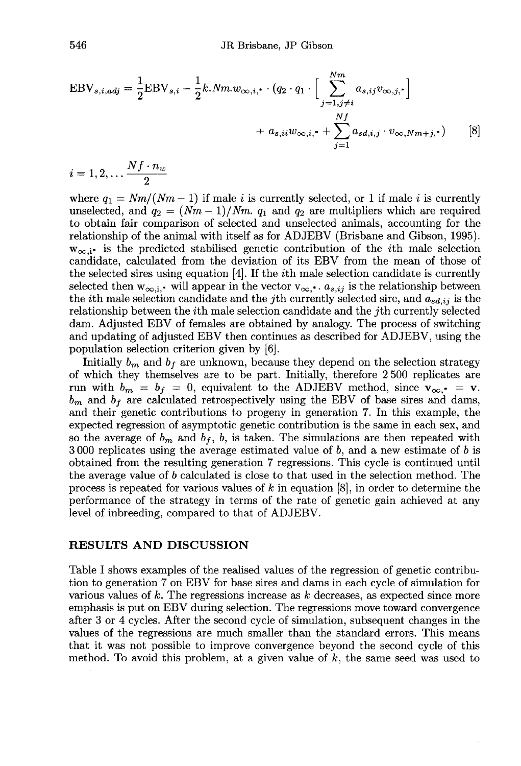$$
EBV_{s,i,adj} = \frac{1}{2} EBV_{s,i} - \frac{1}{2}k.Nm.w_{\infty,i,*} \cdot (q_2 \cdot q_1 \cdot \Big[\sum_{j=1,j\neq i}^{Nm} a_{s,ij}v_{\infty,j,*}\Big] + a_{s,ii}w_{\infty,i,*} + \sum_{j=1}^{Nf} a_{sd,i,j} \cdot v_{\infty,Nm+j,*})
$$
[8]

$$
i=1,2,\ldots \frac{Nf\cdot n_u}{2}
$$

where  $q_1 = Nm/(Nm-1)$  if male i is currently selected, or 1 if male i is currently unselected, and  $q_2 = (Nm-1)/Nm$ .  $q_1$  and  $q_2$  are multipliers which are required to obtain fair comparison of selected and unselected animals, accounting for the to obtain fair comparison of selected and unselected animals, accounting for the relationship of the animal with itself as for ADJEBV (Brisbane and Gibson, 1995).  $w_{\infty,i^*}$  is the predicted stabilised genetic contributi candidate, calculated from the deviation of its EBV from the mean of those of the selected sires using equation (4!. If the ith male selection candidate is currently selected then  $w_{\infty,i,*}$  will appear in the vector  $v_{\infty,*}$ .  $a_{s,ij}$  is the relationship between the *i*th male selection candidate and the *j*th currently selected sire, and  $a_{sd,ij}$  is the relationship between the ith male selection candidate and the jth currently selected dam. Adjusted EBV of females are obtained by analogy. The process of switching and updating of adjusted EBV then continues as described for ADJEBV, using the population selection criterion given by (6!.

Initially  $b_m$  and  $b_f$  are unknown, because they depend on the selection strategy of which they themselves are to be part. Initially, therefore 2 500 replicates are run with  $b_m = b_f = 0$ , equivalent to the ADJEBV method, since  $\mathbf{v}_{\infty,*} = \mathbf{v}$ .  $b<sub>m</sub>$  and  $b<sub>f</sub>$  are calculated retrospectively using the EBV of base sires and dams, and their genetic contributions to progeny in generation 7. In this example, the expected regression of asymptotic genetic contribution is the same in each sex, and so the average of  $b_m$  and  $b_f$ , b, is taken. The simulations are then repeated with 3 000 replicates using the average estimated value of b, and a new estimate of b is obtained from the resulting generation 7 regressions. This cycle is continued until the average value of b calculated is close to that used in the selection method. The process is repeated for various values of k in equation  $[8]$ , in order to determine the performance of the strategy in terms of the rate of genetic gain achieved at any level of inbreeding, compared to that of ADJEBV.

#### RESULTS AND DISCUSSION

Table I shows examples of the realised values of the regression of genetic contribution to generation 7 on EBV for base sires and dams in each cycle of simulation for various values of k. The regressions increase as k decreases, as expected since more emphasis is put on EBV during selection. The regressions move toward convergence after 3 or 4 cycles. After the second cycle of simulation, subsequent changes in the values of the regressions are much smaller than the standard errors. This means that it was not possible to improve convergence beyond the second cycle of this method. To avoid this problem, at a given value of  $k$ , the same seed was used to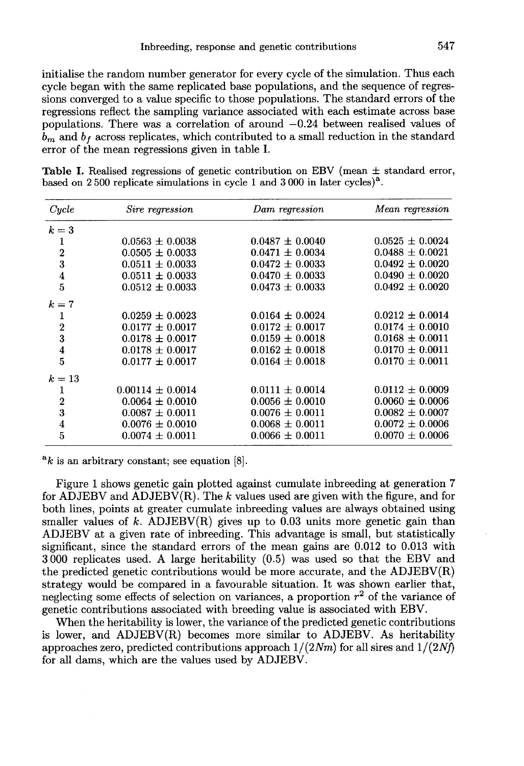initialise the random number generator for every cycle of the simulation. Thus each cycle began with the same replicated base populations, and the sequence of regressions converged to a value specific to those populations. The standard errors of the regressions reflect the sampling variance associated with each estimate across base populations. There was a correlation of around  $-0.24$  between realised values of  $\overline{b}_m$  and  $b_f$  across replicates, which contributed to a small reduction in the standard error of the mean regressions given in table I.

| Cycle            | Sire regression      | Dam regression      | Mean regression     |
|------------------|----------------------|---------------------|---------------------|
| $k=3$            |                      |                     |                     |
| 1                | $0.0563 \pm 0.0038$  | $0.0487 \pm 0.0040$ | $0.0525 \pm 0.0024$ |
| $\overline{2}$   | $0.0505 \pm 0.0033$  | $0.0471 \pm 0.0034$ | $0.0488 \pm 0.0021$ |
| 3                | $0.0511 \pm 0.0033$  | $0.0472 \pm 0.0033$ | $0.0492 \pm 0.0020$ |
| 4                | $0.0511 \pm 0.0033$  | $0.0470 \pm 0.0033$ | $0.0490 \pm 0.0020$ |
| 5                | $0.0512 \pm 0.0033$  | $0.0473 \pm 0.0033$ | $0.0492 \pm 0.0020$ |
| $k=7$            |                      |                     |                     |
| 1                | $0.0259 \pm 0.0023$  | $0.0164 \pm 0.0024$ | $0.0212 \pm 0.0014$ |
| $\overline{2}$   | $0.0177 \pm 0.0017$  | $0.0172 \pm 0.0017$ | $0.0174 \pm 0.0010$ |
| 3                | $0.0178 \pm 0.0017$  | $0.0159 \pm 0.0018$ | $0.0168 \pm 0.0011$ |
| 4                | $0.0178 \pm 0.0017$  | $0.0162 \pm 0.0018$ | $0.0170 \pm 0.0011$ |
| 5                | $0.0177 \pm 0.0017$  | $0.0164 \pm 0.0018$ | $0.0170 \pm 0.0011$ |
| $k=13$           |                      |                     |                     |
| 1                | $0.00114 \pm 0.0014$ | $0.0111 \pm 0.0014$ | $0.0112 \pm 0.0009$ |
| $\boldsymbol{2}$ | $0.0064 \pm 0.0010$  | $0.0056 \pm 0.0010$ | $0.0060 \pm 0.0006$ |
| 3                | $0.0087 \pm 0.0011$  | $0.0076 \pm 0.0011$ | $0.0082 \pm 0.0007$ |
| $\boldsymbol{4}$ | $0.0076 \pm 0.0010$  | $0.0068 \pm 0.0011$ | $0.0072 \pm 0.0006$ |
| 5                | $0.0074 \pm 0.0011$  | $0.0066 \pm 0.0011$ | $0.0070 \pm 0.0006$ |

|  |  | <b>Table I.</b> Realised regressions of genetic contribution on EBV (mean $\pm$ standard error, |  |  |  |
|--|--|-------------------------------------------------------------------------------------------------|--|--|--|
|  |  | based on 2 500 replicate simulations in cycle 1 and 3 000 in later cycles) <sup>a</sup> .       |  |  |  |

 $a_k$  is an arbitrary constant; see equation [8].

Figure 1 shows genetic gain plotted against cumulate inbreeding at generation 7 for ADJEBV and ADJEBV $(R)$ . The k values used are given with the figure, and for both lines, points at greater cumulate inbreeding values are always obtained using smaller values of k. ADJEBV(R) gives up to 0.03 units more genetic gain than ADJEBV at a given rate of inbreeding. This advantage is small, but statistically significant, since the standard errors of the mean gains are 0.012 to 0.013 with 3 000 replicates used. A large heritability (0.5) was used so that the EBV and the predicted genetic contributions would be more accurate, and the  $ADJEBV(R)$ strategy would be compared in a favourable situation. It was shown earlier that, neglecting some effects of selection on variances, a proportion  $r^2$  of the variance of genetic contributions associated with breeding value is associated with EBV.

When the heritability is lower, the variance of the predicted genetic contributions is lower, and ADJEBV(R) becomes more similar to ADJEBV. As heritability approaches for all dams, which are the values used by ADJEBV.contributions associated with breeding value is associated with EBV.<br>
e heritability is lower, the variance of the predicted genetic contributions<br>
and ADJEBV(R) becomes more similar to ADJEBV. As heritability<br>
zero, pred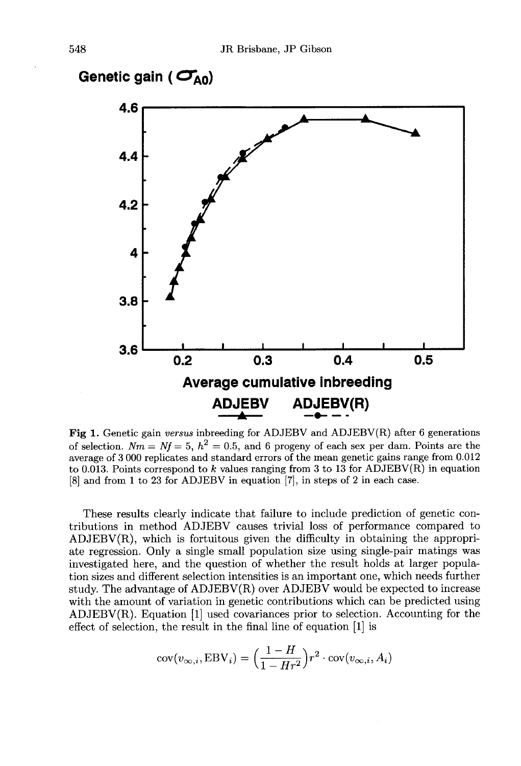

Fig 1. Genetic gain versus inbreeding for ADJEBV and ADJEBV(R) after 6 generations of selection.  $Nm = Nf = 5$ ,  $h^2 = 0.5$ , and 6 progeny of each sex per dam. Points are the average of 3 000 replicates and standard errors of the mean genetic gains range from 0.012 to 0.013. Points correspond to k values ranging from 3 to 13 for ADJEBV(R) in equation [8] and from 1 to 23 for ADJEBV in equation [7], in steps of 2 in each case.

These results clearly indicate that failure to include prediction of genetic contributions in method ADJEBV causes trivial loss of performance compared to ADJEBV(R), which is fortuitous given the difficulty in obtaining the appropriate regression. Only a single small population size using single-pair matings was investigated here, and the question of whether the result holds at larger population sizes and different selection intensities is an important one, which needs further study. The advantage of  $ADJEBV(R)$  over  $ADJEBV$  would be expected to increase with the amount of variation in genetic contributions which can be predicted using ADJEBV(R). Equation [1] used covariances prior to selection. Accounting for the effect of selection, the result in the final line of equation [1] is

$$
cov(v_{\infty,i}, \text{EBV}_i) = \left(\frac{1 - H}{1 - Hr^2}\right)r^2 \cdot cov(v_{\infty,i}, A_i)
$$

Genetic gain ( $\sigma_{\text{A0}}$ )